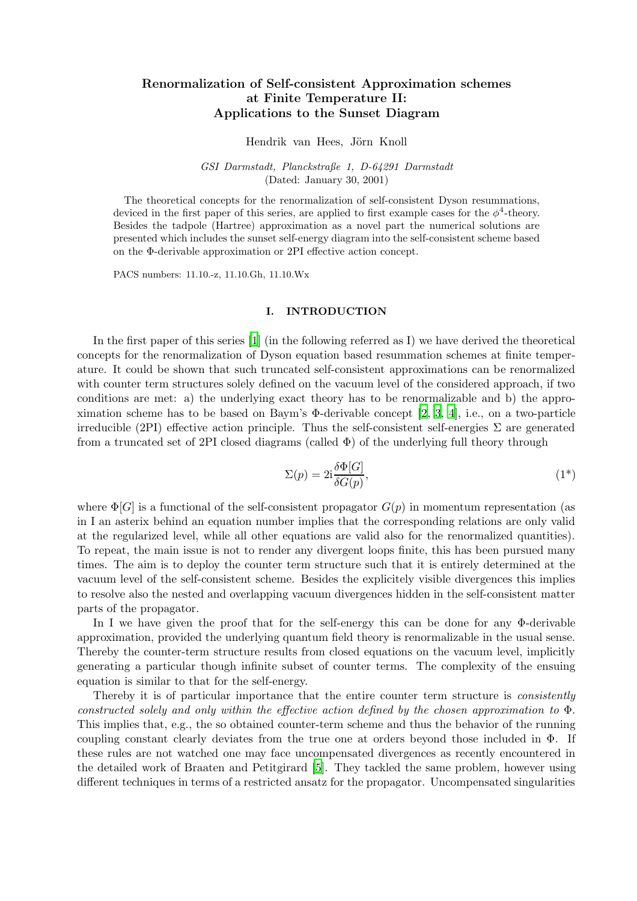# Renormalization of Self-consistent Approximation schemes at Finite Temperature II: Applications to the Sunset Diagram

Hendrik van Hees, Jörn Knoll

GSI Darmstadt, Planckstraße 1, D-64291 Darmstadt (Dated: January 30, 2001)

The theoretical concepts for the renormalization of self-consistent Dyson resummations, deviced in the first paper of this series, are applied to first example cases for the  $\phi^4$ -theory. Besides the tadpole (Hartree) approximation as a novel part the numerical solutions are presented which includes the sunset self-energy diagram into the self-consistent scheme based on the Φ-derivable approximation or 2PI effective action concept.

PACS numbers: 11.10.-z, 11.10.Gh, 11.10.Wx

### I. INTRODUCTION

In the first paper of this series [\[1\]](#page-17-0) (in the following referred as I) we have derived the theoretical concepts for the renormalization of Dyson equation based resummation schemes at finite temperature. It could be shown that such truncated self-consistent approximations can be renormalized with counter term structures solely defined on the vacuum level of the considered approach, if two conditions are met: a) the underlying exact theory has to be renormalizable and b) the approximation scheme has to be based on Baym's  $\Phi$ -derivable concept [\[2](#page-17-1), [3,](#page-17-2) [4\]](#page-17-3), i.e., on a two-particle irreducible (2PI) effective action principle. Thus the self-consistent self-energies  $\Sigma$  are generated from a truncated set of 2PI closed diagrams (called  $\Phi$ ) of the underlying full theory through

<span id="page-0-0"></span>
$$
\Sigma(p) = 2i \frac{\delta \Phi[G]}{\delta G(p)},\tag{1*}
$$

where  $\Phi[G]$  is a functional of the self-consistent propagator  $G(p)$  in momentum representation (as in I an asterix behind an equation number implies that the corresponding relations are only valid at the regularized level, while all other equations are valid also for the renormalized quantities). To repeat, the main issue is not to render any divergent loops finite, this has been pursued many times. The aim is to deploy the counter term structure such that it is entirely determined at the vacuum level of the self-consistent scheme. Besides the explicitely visible divergences this implies to resolve also the nested and overlapping vacuum divergences hidden in the self-consistent matter parts of the propagator.

In I we have given the proof that for the self-energy this can be done for any Φ-derivable approximation, provided the underlying quantum field theory is renormalizable in the usual sense. Thereby the counter-term structure results from closed equations on the vacuum level, implicitly generating a particular though infinite subset of counter terms. The complexity of the ensuing equation is similar to that for the self-energy.

Thereby it is of particular importance that the entire counter term structure is *consistently* constructed solely and only within the effective action defined by the chosen approximation to Φ. This implies that, e.g., the so obtained counter-term scheme and thus the behavior of the running coupling constant clearly deviates from the true one at orders beyond those included in Φ. If these rules are not watched one may face uncompensated divergences as recently encountered in the detailed work of Braaten and Petitgirard [\[5](#page-17-4)]. They tackled the same problem, however using different techniques in terms of a restricted ansatz for the propagator. Uncompensated singularities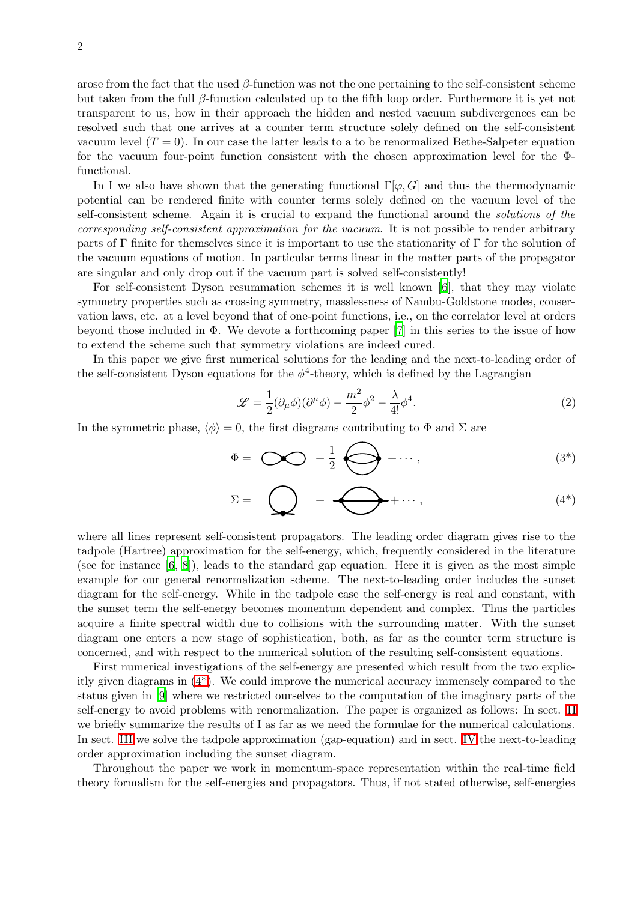arose from the fact that the used  $\beta$ -function was not the one pertaining to the self-consistent scheme but taken from the full β-function calculated up to the fifth loop order. Furthermore it is yet not transparent to us, how in their approach the hidden and nested vacuum subdivergences can be resolved such that one arrives at a counter term structure solely defined on the self-consistent vacuum level  $(T = 0)$ . In our case the latter leads to a to be renormalized Bethe-Salpeter equation for the vacuum four-point function consistent with the chosen approximation level for the Φfunctional.

In I we also have shown that the generating functional  $\Gamma[\varphi, G]$  and thus the thermodynamic potential can be rendered finite with counter terms solely defined on the vacuum level of the self-consistent scheme. Again it is crucial to expand the functional around the solutions of the corresponding self-consistent approximation for the vacuum. It is not possible to render arbitrary parts of  $\Gamma$  finite for themselves since it is important to use the stationarity of  $\Gamma$  for the solution of the vacuum equations of motion. In particular terms linear in the matter parts of the propagator are singular and only drop out if the vacuum part is solved self-consistently!

For self-consistent Dyson resummation schemes it is well known [\[6](#page-17-5)], that they may violate symmetry properties such as crossing symmetry, masslessness of Nambu-Goldstone modes, conservation laws, etc. at a level beyond that of one-point functions, i.e., on the correlator level at orders beyond those included in Φ. We devote a forthcoming paper [\[7](#page-17-6)] in this series to the issue of how to extend the scheme such that symmetry violations are indeed cured.

In this paper we give first numerical solutions for the leading and the next-to-leading order of the self-consistent Dyson equations for the  $\phi^4$ -theory, which is defined by the Lagrangian

$$
\mathcal{L} = \frac{1}{2} (\partial_{\mu} \phi)(\partial^{\mu} \phi) - \frac{m^2}{2} \phi^2 - \frac{\lambda}{4!} \phi^4.
$$
 (2)

In the symmetric phase,  $\langle \phi \rangle = 0$ , the first diagrams contributing to  $\Phi$  and  $\Sigma$  are

<span id="page-1-0"></span>
$$
\Phi = \bigcirc \bigcirc \bigcirc + \frac{1}{2} \bigcirc \bigcirc + \cdots,
$$
\n(3\*)

$$
\Sigma = \bigotimes + \bigotimes + \cdots, \tag{4*}
$$

where all lines represent self-consistent propagators. The leading order diagram gives rise to the tadpole (Hartree) approximation for the self-energy, which, frequently considered in the literature (see for instance  $[6, 8]$  $[6, 8]$  $[6, 8]$ ), leads to the standard gap equation. Here it is given as the most simple example for our general renormalization scheme. The next-to-leading order includes the sunset diagram for the self-energy. While in the tadpole case the self-energy is real and constant, with the sunset term the self-energy becomes momentum dependent and complex. Thus the particles acquire a finite spectral width due to collisions with the surrounding matter. With the sunset diagram one enters a new stage of sophistication, both, as far as the counter term structure is concerned, and with respect to the numerical solution of the resulting self-consistent equations.

First numerical investigations of the self-energy are presented which result from the two explicitly given diagrams in [\(4\\*\)](#page-1-0). We could improve the numerical accuracy immensely compared to the status given in [\[9](#page-18-0)] where we restricted ourselves to the computation of the imaginary parts of the self-energy to avoid problems with renormalization. The paper is organized as follows: In sect. [II](#page-2-0) we briefly summarize the results of I as far as we need the formulae for the numerical calculations. In sect. [III](#page-4-0) we solve the tadpole approximation (gap-equation) and in sect. [IV](#page-7-0) the next-to-leading order approximation including the sunset diagram.

Throughout the paper we work in momentum-space representation within the real-time field theory formalism for the self-energies and propagators. Thus, if not stated otherwise, self-energies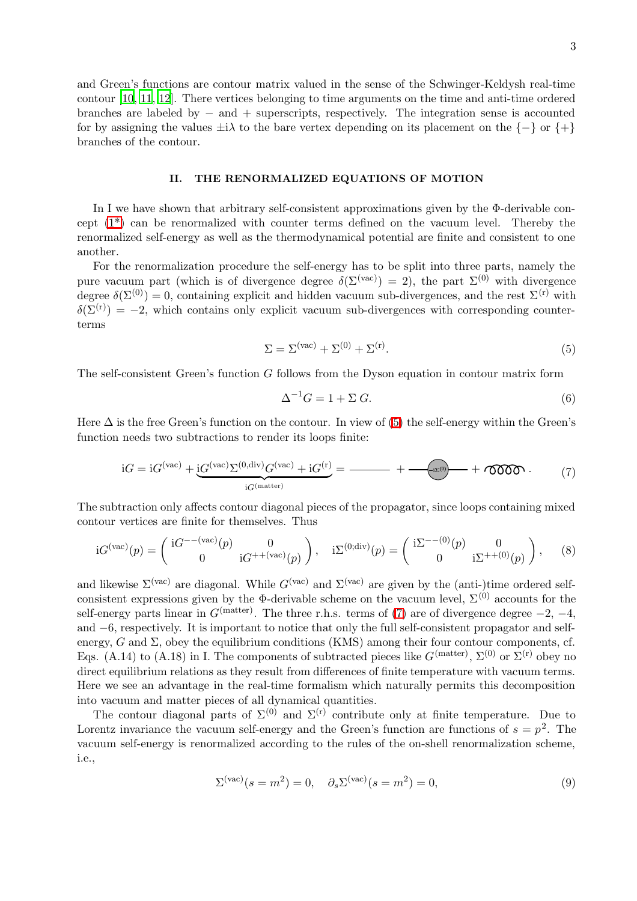and Green's functions are contour matrix valued in the sense of the Schwinger-Keldysh real-time contour [\[10](#page-18-1), [11](#page-18-2), [12](#page-18-3)]. There vertices belonging to time arguments on the time and anti-time ordered branches are labeled by − and + superscripts, respectively. The integration sense is accounted for by assigning the values  $\pm i\lambda$  to the bare vertex depending on its placement on the  $\{-\}$  or  $\{+\}$ branches of the contour.

### II. THE RENORMALIZED EQUATIONS OF MOTION

<span id="page-2-0"></span>In I we have shown that arbitrary self-consistent approximations given by the Φ-derivable concept [\(1\\*\)](#page-0-0) can be renormalized with counter terms defined on the vacuum level. Thereby the renormalized self-energy as well as the thermodynamical potential are finite and consistent to one another.

<span id="page-2-1"></span>For the renormalization procedure the self-energy has to be split into three parts, namely the pure vacuum part (which is of divergence degree  $\delta(\Sigma^{(\text{vac})}) = 2$ ), the part  $\Sigma^{(0)}$  with divergence degree  $\delta(\Sigma^{(0)}) = 0$ , containing explicit and hidden vacuum sub-divergences, and the rest  $\Sigma^{(r)}$  with  $\delta(\Sigma^{(r)}) = -2$ , which contains only explicit vacuum sub-divergences with corresponding counterterms

$$
\Sigma = \Sigma^{(\text{vac})} + \Sigma^{(0)} + \Sigma^{(\text{r})}.
$$
\n
$$
(5)
$$

The self-consistent Green's function G follows from the Dyson equation in contour matrix form

<span id="page-2-4"></span><span id="page-2-2"></span>
$$
\Delta^{-1}G = 1 + \Sigma G. \tag{6}
$$

Here  $\Delta$  is the free Green's function on the contour. In view of [\(5\)](#page-2-1) the self-energy within the Green's function needs two subtractions to render its loops finite:

$$
iG = iG^{(vac)} + \underbrace{iG^{(vac)}\Sigma^{(0,div)}G^{(vac)} + iG^{(r)}}_{iG^{(matter)}} = \underbrace{+ - \underbrace{+ \underbrace{+ \Sigma^{(0)}}- + \text{0000}}. \tag{7}
$$

The subtraction only affects contour diagonal pieces of the propagator, since loops containing mixed contour vertices are finite for themselves. Thus

$$
iG^{(vac)}(p) = \begin{pmatrix} iG^{--(vac)}(p) & 0 \\ 0 & iG^{++(vac)}(p) \end{pmatrix}, \quad i\Sigma^{(0;div)}(p) = \begin{pmatrix} i\Sigma^{--(0)}(p) & 0 \\ 0 & i\Sigma^{++(0)}(p) \end{pmatrix}, \quad (8)
$$

and likewise  $\Sigma^{(vac)}$  are diagonal. While  $G^{(vac)}$  and  $\Sigma^{(vac)}$  are given by the (anti-)time ordered selfconsistent expressions given by the  $\Phi$ -derivable scheme on the vacuum level,  $\Sigma^{(0)}$  accounts for the self-energy parts linear in  $G<sup>(matter)</sup>$ . The three r.h.s. terms of [\(7\)](#page-2-2) are of divergence degree  $-2, -4,$ and −6, respectively. It is important to notice that only the full self-consistent propagator and selfenergy, G and  $\Sigma$ , obey the equilibrium conditions (KMS) among their four contour components, cf. Eqs. (A.14) to (A.18) in I. The components of subtracted pieces like  $G^{(\text{matter})}$ ,  $\Sigma^{(0)}$  or  $\Sigma^{(r)}$  obey no direct equilibrium relations as they result from differences of finite temperature with vacuum terms. Here we see an advantage in the real-time formalism which naturally permits this decomposition into vacuum and matter pieces of all dynamical quantities.

<span id="page-2-3"></span>The contour diagonal parts of  $\Sigma^{(0)}$  and  $\Sigma^{(r)}$  contribute only at finite temperature. Due to Lorentz invariance the vacuum self-energy and the Green's function are functions of  $s = p^2$ . The vacuum self-energy is renormalized according to the rules of the on-shell renormalization scheme, i.e.,

$$
\Sigma^{(\text{vac})}(s=m^2) = 0, \quad \partial_s \Sigma^{(\text{vac})}(s=m^2) = 0,\tag{9}
$$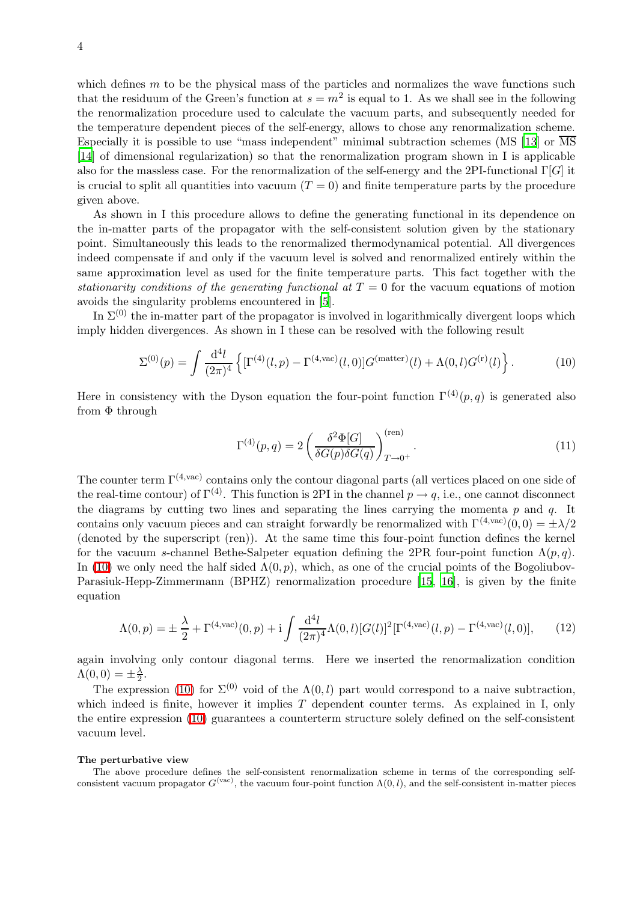which defines  $m$  to be the physical mass of the particles and normalizes the wave functions such that the residuum of the Green's function at  $s = m^2$  is equal to 1. As we shall see in the following the renormalization procedure used to calculate the vacuum parts, and subsequently needed for the temperature dependent pieces of the self-energy, allows to chose any renormalization scheme. Especially it is possible to use "mass independent" minimal subtraction schemes (MS  $[13]$  $[13]$  $[13]$  or  $\overline{\text{MS}}$ [\[14\]](#page-18-5) of dimensional regularization) so that the renormalization program shown in I is applicable also for the massless case. For the renormalization of the self-energy and the 2PI-functional  $\Gamma[G]$  it is crucial to split all quantities into vacuum  $(T = 0)$  and finite temperature parts by the procedure given above.

As shown in I this procedure allows to define the generating functional in its dependence on the in-matter parts of the propagator with the self-consistent solution given by the stationary point. Simultaneously this leads to the renormalized thermodynamical potential. All divergences indeed compensate if and only if the vacuum level is solved and renormalized entirely within the same approximation level as used for the finite temperature parts. This fact together with the stationarity conditions of the generating functional at  $T = 0$  for the vacuum equations of motion avoids the singularity problems encountered in [\[5\]](#page-17-4).

In  $\Sigma^{(0)}$  the in-matter part of the propagator is involved in logarithmically divergent loops which imply hidden divergences. As shown in I these can be resolved with the following result

$$
\Sigma^{(0)}(p) = \int \frac{\mathrm{d}^4 l}{(2\pi)^4} \left\{ [\Gamma^{(4)}(l,p) - \Gamma^{(4,\text{vac})}(l,0)] G^{(\text{matter})}(l) + \Lambda(0,l) G^{(\text{r})}(l) \right\}.
$$
 (10)

<span id="page-3-1"></span>Here in consistency with the Dyson equation the four-point function  $\Gamma^{(4)}(p,q)$  is generated also from Φ through

<span id="page-3-0"></span>
$$
\Gamma^{(4)}(p,q) = 2\left(\frac{\delta^2 \Phi[G]}{\delta G(p)\delta G(q)}\right)_{T \to 0^+}^{\text{(ren)}}.
$$
\n(11)

The counter term  $\Gamma^{(4,\text{vac})}$  contains only the contour diagonal parts (all vertices placed on one side of the real-time contour) of  $\Gamma^{(4)}$ . This function is 2PI in the channel  $p \to q$ , i.e., one cannot disconnect the diagrams by cutting two lines and separating the lines carrying the momenta  $p$  and  $q$ . It contains only vacuum pieces and can straight forwardly be renormalized with  $\Gamma^{(4,\text{vac})}(0,0) = \pm \lambda/2$ (denoted by the superscript (ren)). At the same time this four-point function defines the kernel for the vacuum s-channel Bethe-Salpeter equation defining the 2PR four-point function  $\Lambda(p,q)$ . In [\(10\)](#page-3-0) we only need the half sided  $\Lambda(0, p)$ , which, as one of the crucial points of the Bogoliubov-Parasiuk-Hepp-Zimmermann (BPHZ) renormalization procedure [\[15,](#page-18-6) [16](#page-18-7)], is given by the finite equation

<span id="page-3-2"></span>
$$
\Lambda(0,p) = \pm \frac{\lambda}{2} + \Gamma^{(4,\text{vac})}(0,p) + i \int \frac{d^4l}{(2\pi)^4} \Lambda(0,l) [G(l)]^2 [\Gamma^{(4,\text{vac})}(l,p) - \Gamma^{(4,\text{vac})}(l,0)], \tag{12}
$$

again involving only contour diagonal terms. Here we inserted the renormalization condition  $\Lambda(0,0)=\pm\frac{\lambda}{2}$  $\frac{\lambda}{2}$ .

The expression [\(10\)](#page-3-0) for  $\Sigma^{(0)}$  void of the  $\Lambda(0, l)$  part would correspond to a naive subtraction, which indeed is finite, however it implies  $T$  dependent counter terms. As explained in I, only the entire expression [\(10\)](#page-3-0) guarantees a counterterm structure solely defined on the self-consistent vacuum level.

#### The perturbative view

The above procedure defines the self-consistent renormalization scheme in terms of the corresponding selfconsistent vacuum propagator  $G^{(\text{vac})}$ , the vacuum four-point function  $\Lambda(0, l)$ , and the self-consistent in-matter pieces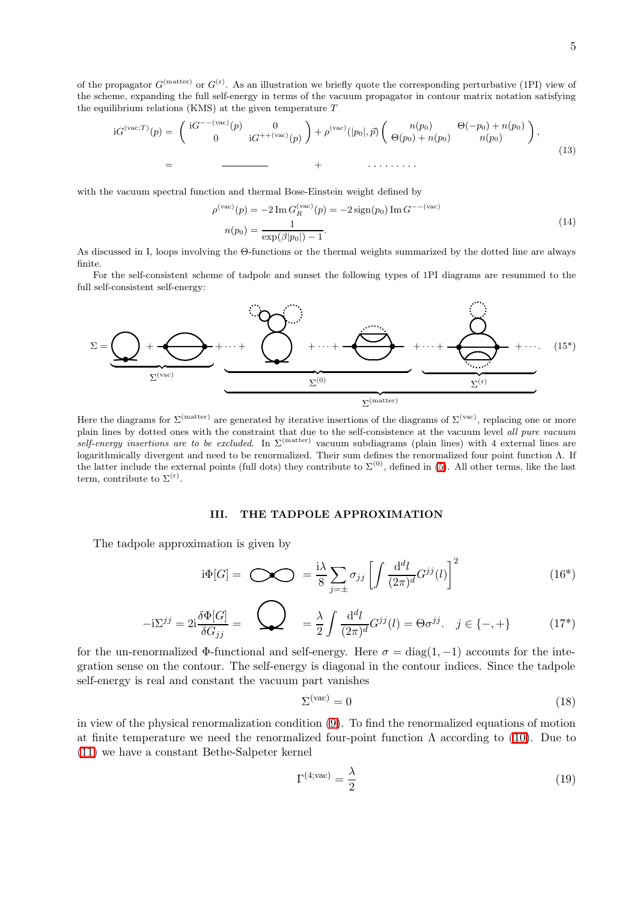of the propagator  $G^{(\text{matter})}$  or  $G^{(r)}$ . As an illustration we briefly quote the corresponding perturbative (1PI) view of the scheme, expanding the full self-energy in terms of the vacuum propagator in contour matrix notation satisfying the equilibrium relations (KMS) at the given temperature  $T$ 

$$
iG^{(vac;T)}(p) = \begin{pmatrix} iG^{--(vac)}(p) & 0 \\ 0 & iG^{++(vac)}(p) \end{pmatrix} + \rho^{(vac)}(|p_0|, \vec{p}) \begin{pmatrix} n(p_0) & \Theta(-p_0) + n(p_0) \\ \Theta(p_0) + n(p_0) & n(p_0) \end{pmatrix},
$$
\n
$$
= \qquad \qquad + \qquad \qquad (13)
$$

with the vacuum spectral function and thermal Bose-Einstein weight defined by

<span id="page-4-1"></span>
$$
\rho^{(\text{vac})}(p) = -2 \operatorname{Im} G_R^{(\text{vac})}(p) = -2 \operatorname{sign}(p_0) \operatorname{Im} G^{-(\text{vac})}
$$
  
\n
$$
n(p_0) = \frac{1}{\exp(\beta|p_0|) - 1}.
$$
\n(14)

As discussed in I, loops involving the Θ-functions or the thermal weights summarized by the dotted line are always finite.

For the self-consistent scheme of tadpole and sunset the following types of 1PI diagrams are resummed to the full self-consistent self-energy:



Here the diagrams for  $\Sigma^{(\text{matter})}$  are generated by iterative insertions of the diagrams of  $\Sigma^{(\text{vac})}$ , replacing one or more plain lines by dotted ones with the constraint that due to the self-consistence at the vacuum level all pure vacuum self-energy insertions are to be excluded. In  $\Sigma^{\text{(matter)}}$  vacuum subdiagrams (plain lines) with 4 external lines are logarithmically divergent and need to be renormalized. Their sum defines the renormalized four point function Λ. If the latter include the external points (full dots) they contribute to  $\Sigma^{(0)}$ , defined in [\(5\)](#page-2-1). All other terms, like the last term, contribute to  $\Sigma^{(r)}$ .

#### III. THE TADPOLE APPROXIMATION

<span id="page-4-0"></span>The tadpole approximation is given by

$$
i\Phi[G] = \bigodot \bigodot = \frac{i\lambda}{8} \sum_{j=\pm} \sigma_{jj} \left[ \int \frac{d^d l}{(2\pi)^d} G^{jj}(l) \right]^2 \tag{16*}
$$

$$
-i\Sigma^{jj} = 2i\frac{\delta\Phi[G]}{\delta G_{jj}} = \sum_{j} \frac{\lambda}{2} \int \frac{d^{d}l}{(2\pi)^{d}} G^{jj}(l) = \Theta\sigma^{jj}, \quad j \in \{-, +\}
$$
 (17\*)

for the un-renormalized  $\Phi$ -functional and self-energy. Here  $\sigma = \text{diag}(1, -1)$  accounts for the integration sense on the contour. The self-energy is diagonal in the contour indices. Since the tadpole self-energy is real and constant the vacuum part vanishes

$$
\Sigma^{(\text{vac})} = 0 \tag{18}
$$

in view of the physical renormalization condition [\(9\)](#page-2-3). To find the renormalized equations of motion at finite temperature we need the renormalized four-point function  $\Lambda$  according to [\(10\)](#page-3-0). Due to [\(11\)](#page-3-1) we have a constant Bethe-Salpeter kernel

$$
\Gamma^{(4;\text{vac})} = \frac{\lambda}{2} \tag{19}
$$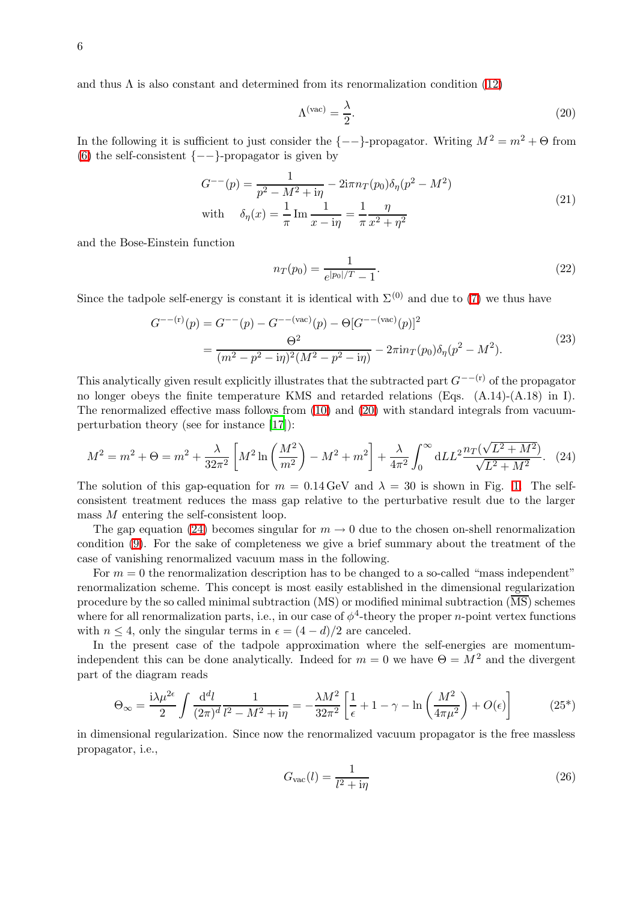and thus  $\Lambda$  is also constant and determined from its renormalization condition [\(12\)](#page-3-2)

<span id="page-5-0"></span>
$$
\Lambda^{(\text{vac})} = \frac{\lambda}{2}.\tag{20}
$$

In the following it is sufficient to just consider the  $\{-\}$ -propagator. Writing  $M^2 = m^2 + \Theta$  from [\(6\)](#page-2-4) the self-consistent  $\{--\}$ -propagator is given by

$$
G^{--}(p) = \frac{1}{p^2 - M^2 + i\eta} - 2i\pi n_T(p_0)\delta_\eta(p^2 - M^2)
$$
  
with 
$$
\delta_\eta(x) = \frac{1}{\pi} \operatorname{Im} \frac{1}{x - i\eta} = \frac{1}{\pi} \frac{\eta}{x^2 + \eta^2}
$$
 (21)

and the Bose-Einstein function

$$
n_T(p_0) = \frac{1}{e^{|p_0|/T} - 1}.\tag{22}
$$

Since the tadpole self-energy is constant it is identical with  $\Sigma^{(0)}$  and due to [\(7\)](#page-2-2) we thus have

<span id="page-5-1"></span>
$$
G^{--(\mathbf{r})}(p) = G^{--}(p) - G^{--(\text{vac})}(p) - \Theta[G^{--(\text{vac})}(p)]^2
$$
  
= 
$$
\frac{\Theta^2}{(m^2 - p^2 - i\eta)^2 (M^2 - p^2 - i\eta)} - 2\pi i n_T (p_0) \delta_\eta (p^2 - M^2).
$$
 (23)

This analytically given result explicitly illustrates that the subtracted part  $G^{-(r)}$  of the propagator no longer obeys the finite temperature KMS and retarded relations (Eqs. (A.14)-(A.18) in I). The renormalized effective mass follows from [\(10\)](#page-3-0) and [\(20\)](#page-5-0) with standard integrals from vacuumperturbation theory (see for instance [\[17](#page-18-8)]):

$$
M^{2} = m^{2} + \Theta = m^{2} + \frac{\lambda}{32\pi^{2}} \left[ M^{2} \ln \left( \frac{M^{2}}{m^{2}} \right) - M^{2} + m^{2} \right] + \frac{\lambda}{4\pi^{2}} \int_{0}^{\infty} dLL^{2} \frac{n_{T}(\sqrt{L^{2} + M^{2}})}{\sqrt{L^{2} + M^{2}}}.
$$
 (24)

The solution of this gap-equation for  $m = 0.14 \,\text{GeV}$  and  $\lambda = 30$  is shown in Fig. [1.](#page-6-0) The selfconsistent treatment reduces the mass gap relative to the perturbative result due to the larger mass M entering the self-consistent loop.

The gap equation [\(24\)](#page-5-1) becomes singular for  $m \to 0$  due to the chosen on-shell renormalization condition [\(9\)](#page-2-3). For the sake of completeness we give a brief summary about the treatment of the case of vanishing renormalized vacuum mass in the following.

For  $m = 0$  the renormalization description has to be changed to a so-called "mass independent" renormalization scheme. This concept is most easily established in the dimensional regularization procedure by the so called minimal subtraction  $(MS)$  or modified minimal subtraction  $(\overline{MS})$  schemes where for all renormalization parts, i.e., in our case of  $\phi^4$ -theory the proper *n*-point vertex functions with  $n \leq 4$ , only the singular terms in  $\epsilon = (4 - d)/2$  are canceled.

In the present case of the tadpole approximation where the self-energies are momentumindependent this can be done analytically. Indeed for  $m = 0$  we have  $\Theta = M^2$  and the divergent part of the diagram reads

$$
\Theta_{\infty} = \frac{i\lambda\mu^{2\epsilon}}{2} \int \frac{d^d l}{(2\pi)^d} \frac{1}{l^2 - M^2 + i\eta} = -\frac{\lambda M^2}{32\pi^2} \left[ \frac{1}{\epsilon} + 1 - \gamma - \ln\left(\frac{M^2}{4\pi\mu^2}\right) + O(\epsilon) \right]
$$
(25\*)

in dimensional regularization. Since now the renormalized vacuum propagator is the free massless propagator, i.e.,

$$
G_{\text{vac}}(l) = \frac{1}{l^2 + \mathrm{i}\eta} \tag{26}
$$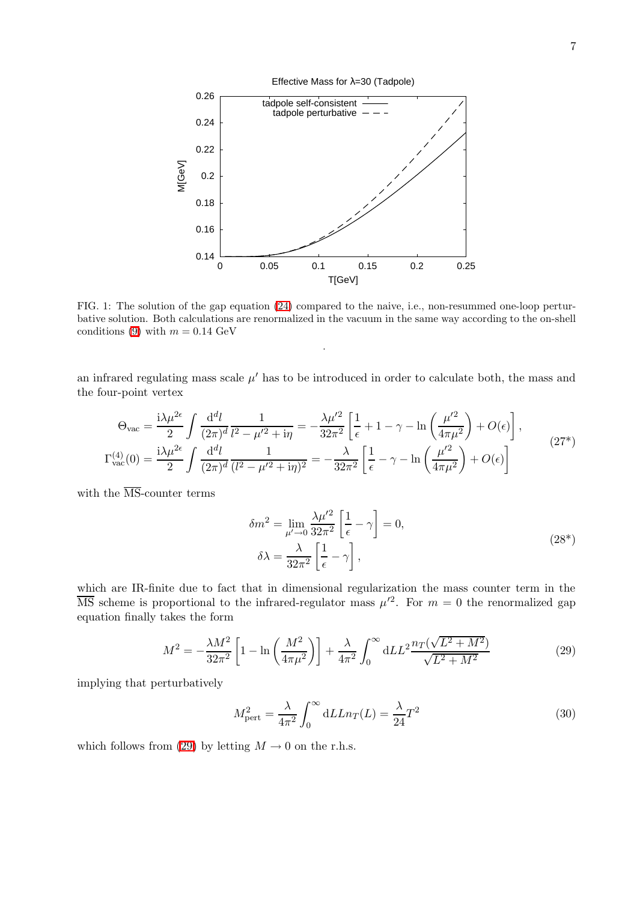Effective Mass for λ=30 (Tadpole)



<span id="page-6-0"></span>FIG. 1: The solution of the gap equation [\(24\)](#page-5-1) compared to the naive, i.e., non-resummed one-loop perturbative solution. Both calculations are renormalized in the vacuum in the same way according to the on-shell conditions [\(9\)](#page-2-3) with  $m = 0.14$  GeV

.

an infrared regulating mass scale  $\mu'$  has to be introduced in order to calculate both, the mass and the four-point vertex

$$
\Theta_{\text{vac}} = \frac{i\lambda\mu^{2\epsilon}}{2} \int \frac{d^{d}l}{(2\pi)^{d}} \frac{1}{l^{2} - \mu'^{2} + i\eta} = -\frac{\lambda\mu'^{2}}{32\pi^{2}} \left[ \frac{1}{\epsilon} + 1 - \gamma - \ln\left(\frac{\mu'^{2}}{4\pi\mu^{2}}\right) + O(\epsilon) \right],
$$
\n
$$
\Gamma_{\text{vac}}^{(4)}(0) = \frac{i\lambda\mu^{2\epsilon}}{2} \int \frac{d^{d}l}{(2\pi)^{d}} \frac{1}{(l^{2} - \mu'^{2} + i\eta)^{2}} = -\frac{\lambda}{32\pi^{2}} \left[ \frac{1}{\epsilon} - \gamma - \ln\left(\frac{\mu'^{2}}{4\pi\mu^{2}}\right) + O(\epsilon) \right]
$$
\n(27\*)

with the MS-counter terms

$$
\delta m^2 = \lim_{\mu' \to 0} \frac{\lambda \mu'^2}{32\pi^2} \left[ \frac{1}{\epsilon} - \gamma \right] = 0,
$$
  

$$
\delta \lambda = \frac{\lambda}{32\pi^2} \left[ \frac{1}{\epsilon} - \gamma \right],
$$
 (28\*)

which are IR-finite due to fact that in dimensional regularization the mass counter term in the  $\overline{\text{MS}}$  scheme is proportional to the infrared-regulator mass  $\mu'^2$ . For  $m = 0$  the renormalized gap equation finally takes the form

<span id="page-6-1"></span>
$$
M^{2} = -\frac{\lambda M^{2}}{32\pi^{2}} \left[ 1 - \ln\left(\frac{M^{2}}{4\pi\mu^{2}}\right) \right] + \frac{\lambda}{4\pi^{2}} \int_{0}^{\infty} dLL^{2} \frac{n_{T}(\sqrt{L^{2} + M^{2}})}{\sqrt{L^{2} + M^{2}}} \tag{29}
$$

implying that perturbatively

$$
M_{\text{pert}}^2 = \frac{\lambda}{4\pi^2} \int_0^\infty dLL n_T(L) = \frac{\lambda}{24} T^2 \tag{30}
$$

which follows from [\(29\)](#page-6-1) by letting  $M \to 0$  on the r.h.s.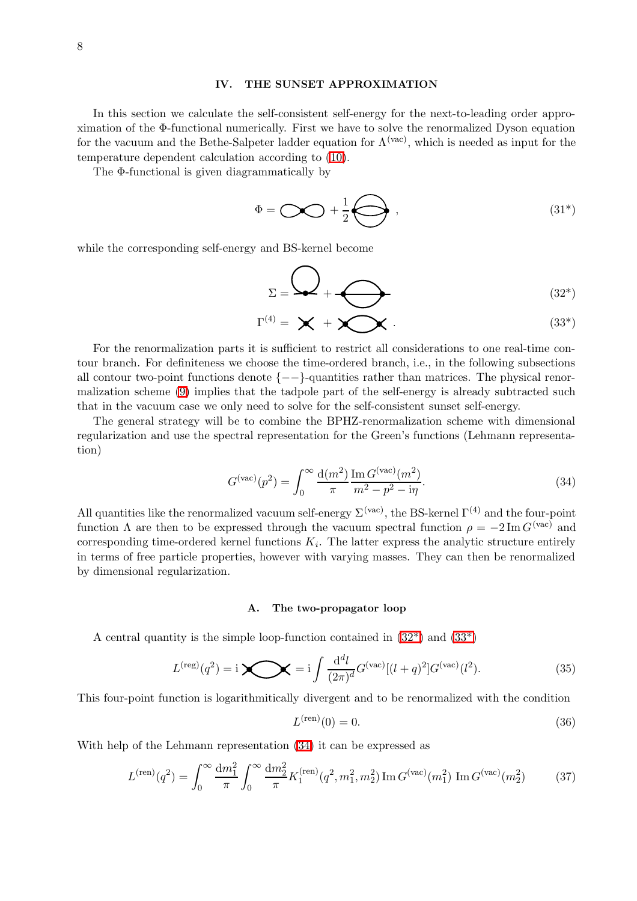### <span id="page-7-0"></span>IV. THE SUNSET APPROXIMATION

In this section we calculate the self-consistent self-energy for the next-to-leading order approximation of the Φ-functional numerically. First we have to solve the renormalized Dyson equation for the vacuum and the Bethe-Salpeter ladder equation for  $\Lambda^{(vac)}$ , which is needed as input for the temperature dependent calculation according to [\(10\)](#page-3-0).

The Φ-functional is given diagrammatically by

$$
\Phi = \bigcirc \bigcirc \bigcirc + \frac{1}{2} \bigcirc \bigcirc ,\tag{31*}
$$

while the corresponding self-energy and BS-kernel become

$$
\Sigma = \bigotimes + \bigotimes
$$
 (32\*)

<span id="page-7-1"></span>
$$
\Gamma^{(4)} = \mathbf{X} + \mathbf{X} \tag{33*}
$$

For the renormalization parts it is sufficient to restrict all considerations to one real-time contour branch. For definiteness we choose the time-ordered branch, i.e., in the following subsections all contour two-point functions denote  $\{--\}$ -quantities rather than matrices. The physical renormalization scheme [\(9\)](#page-2-3) implies that the tadpole part of the self-energy is already subtracted such that in the vacuum case we only need to solve for the self-consistent sunset self-energy.

<span id="page-7-2"></span>The general strategy will be to combine the BPHZ-renormalization scheme with dimensional regularization and use the spectral representation for the Green's functions (Lehmann representation)

$$
G^{(\text{vac})}(p^2) = \int_0^\infty \frac{d(m^2)}{\pi} \frac{\text{Im } G^{(\text{vac})}(m^2)}{m^2 - p^2 - i\eta}.
$$
 (34)

All quantities like the renormalized vacuum self-energy  $\Sigma^{(\text{vac})}$ , the BS-kernel  $\Gamma^{(4)}$  and the four-point function  $\Lambda$  are then to be expressed through the vacuum spectral function  $\rho = -2 \text{Im } G^{(\text{vac})}$  and corresponding time-ordered kernel functions  $K_i$ . The latter express the analytic structure entirely in terms of free particle properties, however with varying masses. They can then be renormalized by dimensional regularization.

#### A. The two-propagator loop

A central quantity is the simple loop-function contained in  $(32^*)$  and  $(33^*)$ 

$$
L^{(\text{reg})}(q^2) = \mathbf{i} \sum_{l} = \mathbf{i} \int \frac{d^d l}{(2\pi)^d} G^{(\text{vac})}[(l+q)^2] G^{(\text{vac})}(l^2). \tag{35}
$$

This four-point function is logarithmitically divergent and to be renormalized with the condition

<span id="page-7-5"></span><span id="page-7-4"></span><span id="page-7-3"></span>
$$
L^{(\text{ren})}(0) = 0.\tag{36}
$$

With help of the Lehmann representation [\(34\)](#page-7-2) it can be expressed as

$$
L^{(\text{ren})}(q^2) = \int_0^\infty \frac{\mathrm{d}m_1^2}{\pi} \int_0^\infty \frac{\mathrm{d}m_2^2}{\pi} K_1^{(\text{ren})}(q^2, m_1^2, m_2^2) \operatorname{Im} G^{(\text{vac})}(m_1^2) \operatorname{Im} G^{(\text{vac})}(m_2^2)
$$
(37)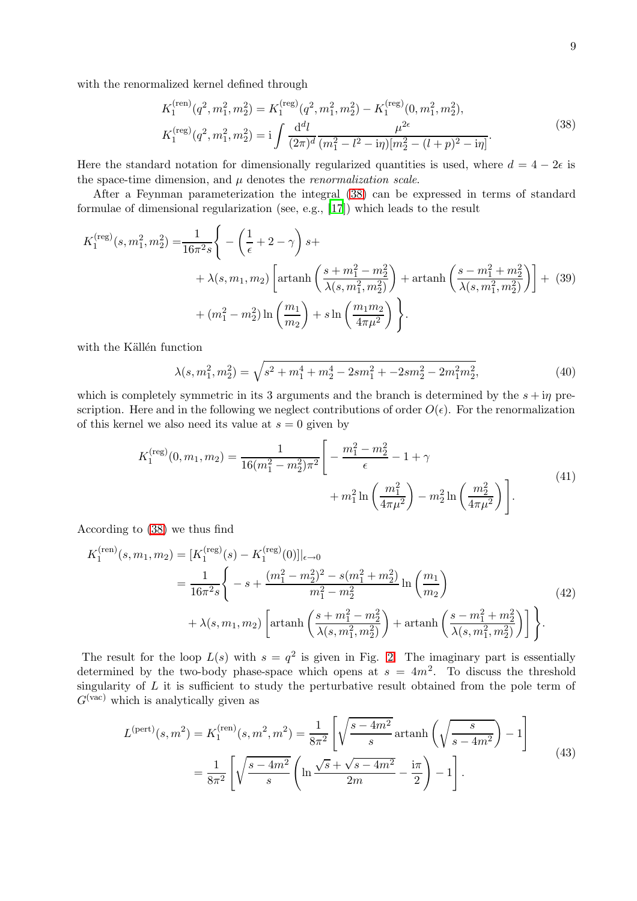with the renormalized kernel defined through

<span id="page-8-1"></span><span id="page-8-0"></span>
$$
K_1^{\text{(ren)}}(q^2, m_1^2, m_2^2) = K_1^{\text{(reg)}}(q^2, m_1^2, m_2^2) - K_1^{\text{(reg)}}(0, m_1^2, m_2^2),
$$
  
\n
$$
K_1^{\text{(reg)}}(q^2, m_1^2, m_2^2) = \mathbf{i} \int \frac{\mathrm{d}^d l}{(2\pi)^d} \frac{\mu^{2\epsilon}}{(m_1^2 - l^2 - \mathbf{i}\eta)[m_2^2 - (l+p)^2 - \mathbf{i}\eta]}.
$$
\n(38)

Here the standard notation for dimensionally regularized quantities is used, where  $d = 4 - 2\epsilon$  is the space-time dimension, and  $\mu$  denotes the *renormalization scale*.

After a Feynman parameterization the integral [\(38\)](#page-8-0) can be expressed in terms of standard formulae of dimensional regularization (see, e.g., [\[17](#page-18-8)]) which leads to the result

$$
K_1^{\text{(reg)}}(s, m_1^2, m_2^2) = \frac{1}{16\pi^2 s} \Bigg\{ -\left(\frac{1}{\epsilon} + 2 - \gamma\right)s +
$$
  
+  $\lambda(s, m_1, m_2) \Bigg[ \operatorname{artanh}\left(\frac{s + m_1^2 - m_2^2}{\lambda(s, m_1^2, m_2^2)}\right) + \operatorname{artanh}\left(\frac{s - m_1^2 + m_2^2}{\lambda(s, m_1^2, m_2^2)}\right) \Bigg] + (39)$   
+  $(m_1^2 - m_2^2) \ln\left(\frac{m_1}{m_2}\right) + s \ln\left(\frac{m_1 m_2}{4\pi\mu^2}\right) \Bigg\}.$ 

with the Källén function

$$
\lambda(s, m_1^2, m_2^2) = \sqrt{s^2 + m_1^4 + m_2^4 - 2sm_1^2 + -2sm_2^2 - 2m_1^2m_2^2},\tag{40}
$$

which is completely symmetric in its 3 arguments and the branch is determined by the  $s + i\eta$  prescription. Here and in the following we neglect contributions of order  $O(\epsilon)$ . For the renormalization of this kernel we also need its value at  $s = 0$  given by

<span id="page-8-2"></span>
$$
K_1^{\text{(reg)}}(0, m_1, m_2) = \frac{1}{16(m_1^2 - m_2^2)\pi^2} \left[ -\frac{m_1^2 - m_2^2}{\epsilon} - 1 + \gamma + m_1^2 \ln\left(\frac{m_1^2}{4\pi\mu^2}\right) - m_2^2 \ln\left(\frac{m_2^2}{4\pi\mu^2}\right) \right].
$$
\n(41)

According to [\(38\)](#page-8-0) we thus find

$$
K_1^{\text{(ren)}}(s, m_1, m_2) = [K_1^{\text{(reg)}}(s) - K_1^{\text{(reg)}}(0)]|_{\epsilon \to 0}
$$
  
= 
$$
\frac{1}{16\pi^2 s} \left\{ -s + \frac{(m_1^2 - m_2^2)^2 - s(m_1^2 + m_2^2)}{m_1^2 - m_2^2} \ln\left(\frac{m_1}{m_2}\right) + \lambda(s, m_1, m_2) \left[ \arctanh\left(\frac{s + m_1^2 - m_2^2}{\lambda(s, m_1^2, m_2^2)}\right) + \arctanh\left(\frac{s - m_1^2 + m_2^2}{\lambda(s, m_1^2, m_2^2)}\right) \right] \right\}.
$$
(42)

The result for the loop  $L(s)$  with  $s = q^2$  is given in Fig. [2.](#page-9-0) The imaginary part is essentially determined by the two-body phase-space which opens at  $s = 4m^2$ . To discuss the threshold singularity of  $L$  it is sufficient to study the perturbative result obtained from the pole term of  $G^{(\text{vac})}$  which is analytically given as

$$
L^{(\text{pert})}(s, m^2) = K_1^{(\text{ren})}(s, m^2, m^2) = \frac{1}{8\pi^2} \left[ \sqrt{\frac{s - 4m^2}{s}} \arctan\left(\sqrt{\frac{s}{s - 4m^2}}\right) - 1 \right]
$$
  
=  $\frac{1}{8\pi^2} \left[ \sqrt{\frac{s - 4m^2}{s}} \left( \ln \frac{\sqrt{s} + \sqrt{s - 4m^2}}{2m} - \frac{\mathrm{i}\pi}{2} \right) - 1 \right].$  (43)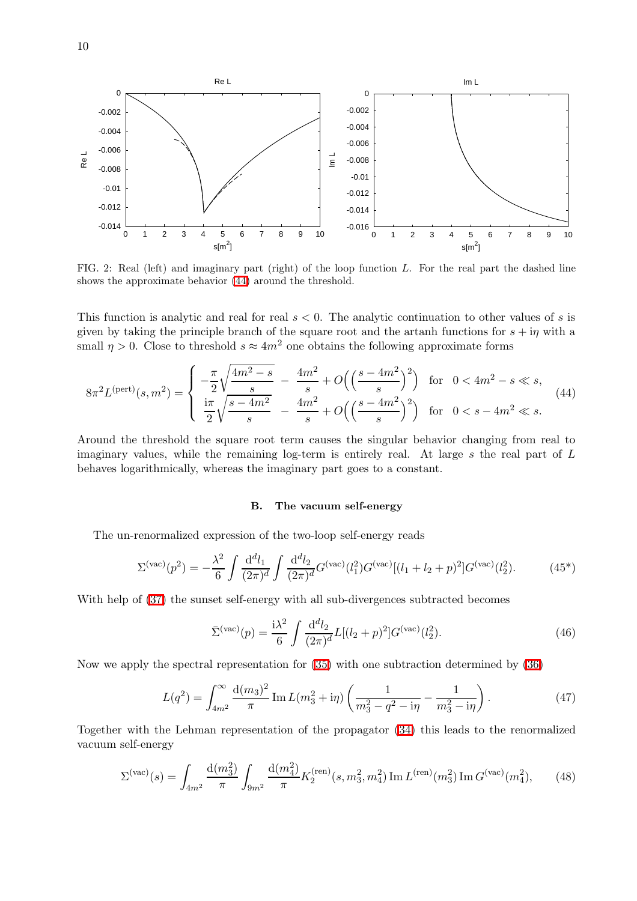

<span id="page-9-0"></span>FIG. 2: Real (left) and imaginary part (right) of the loop function L. For the real part the dashed line shows the approximate behavior [\(44\)](#page-9-1) around the threshold.

This function is analytic and real for real  $s < 0$ . The analytic continuation to other values of s is given by taking the principle branch of the square root and the artanh functions for  $s + i\eta$  with a small  $\eta > 0$ . Close to threshold  $s \approx 4m^2$  one obtains the following approximate forms

$$
8\pi^{2}L^{(\text{pert})}(s,m^{2}) = \begin{cases} -\frac{\pi}{2}\sqrt{\frac{4m^{2}-s}{s}} - \frac{4m^{2}}{s} + O\left(\left(\frac{s-4m^{2}}{s}\right)^{2}\right) & \text{for } 0 < 4m^{2} - s \ll s, \\ \frac{i\pi}{2}\sqrt{\frac{s-4m^{2}}{s}} - \frac{4m^{2}}{s} + O\left(\left(\frac{s-4m^{2}}{s}\right)^{2}\right) & \text{for } 0 < s - 4m^{2} \ll s. \end{cases}
$$
(44)

Around the threshold the square root term causes the singular behavior changing from real to imaginary values, while the remaining log-term is entirely real. At large s the real part of L behaves logarithmically, whereas the imaginary part goes to a constant.

#### <span id="page-9-1"></span>B. The vacuum self-energy

The un-renormalized expression of the two-loop self-energy reads

$$
\Sigma^{(\text{vac})}(p^2) = -\frac{\lambda^2}{6} \int \frac{\mathrm{d}^d l_1}{(2\pi)^d} \int \frac{\mathrm{d}^d l_2}{(2\pi)^d} G^{(\text{vac})}(l_1^2) G^{(\text{vac})}[(l_1 + l_2 + p)^2] G^{(\text{vac})}(l_2^2). \tag{45*}
$$

With help of [\(37\)](#page-7-3) the sunset self-energy with all sub-divergences subtracted becomes

$$
\bar{\Sigma}^{(\text{vac})}(p) = \frac{i\lambda^2}{6} \int \frac{d^d l_2}{(2\pi)^d} L[(l_2 + p)^2] G^{(\text{vac})}(l_2^2).
$$
 (46)

Now we apply the spectral representation for [\(35\)](#page-7-4) with one subtraction determined by [\(36\)](#page-7-5)

$$
L(q^2) = \int_{4m^2}^{\infty} \frac{d(m_3)^2}{\pi} \operatorname{Im} L(m_3^2 + i\eta) \left( \frac{1}{m_3^2 - q^2 - i\eta} - \frac{1}{m_3^2 - i\eta} \right). \tag{47}
$$

<span id="page-9-2"></span>Together with the Lehman representation of the propagator [\(34\)](#page-7-2) this leads to the renormalized vacuum self-energy

$$
\Sigma^{(\text{vac})}(s) = \int_{4m^2} \frac{\mathrm{d}(m_3^2)}{\pi} \int_{9m^2} \frac{\mathrm{d}(m_4^2)}{\pi} K_2^{(\text{ren})}(s, m_3^2, m_4^2) \operatorname{Im} L^{(\text{ren})}(m_3^2) \operatorname{Im} G^{(\text{vac})}(m_4^2),\tag{48}
$$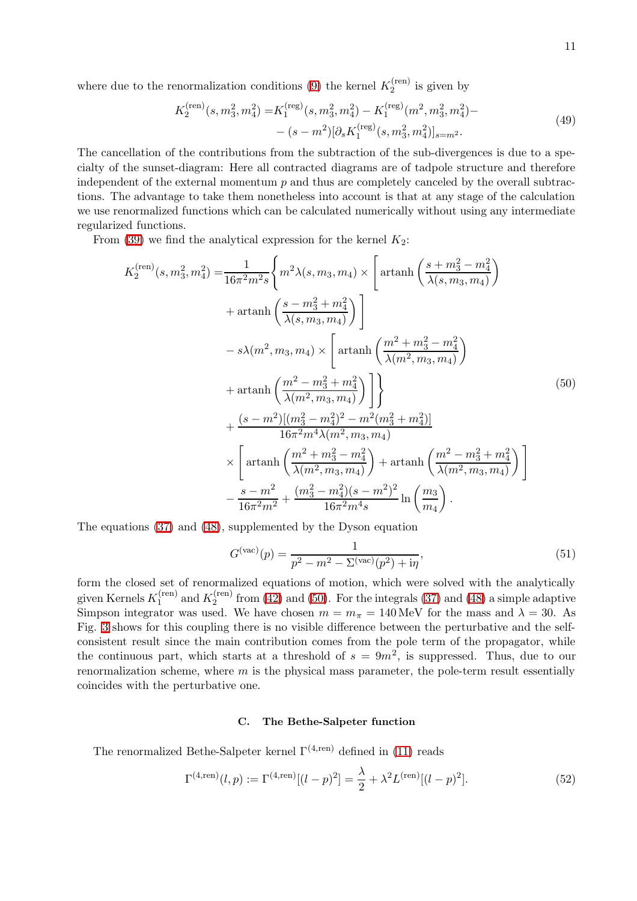where due to the renormalization conditions [\(9\)](#page-2-3) the kernel  $K_2^{\text{(ren)}}$  $2^{(\text{ten})}$  is given by

<span id="page-10-0"></span>
$$
K_2^{\text{(ren)}}(s, m_3^2, m_4^2) = K_1^{\text{(reg)}}(s, m_3^2, m_4^2) - K_1^{\text{(reg)}}(m^2, m_3^2, m_4^2) - (s - m^2)[\partial_s K_1^{\text{(reg)}}(s, m_3^2, m_4^2)]_{s = m^2}.
$$
\n
$$
(49)
$$

The cancellation of the contributions from the subtraction of the sub-divergences is due to a specialty of the sunset-diagram: Here all contracted diagrams are of tadpole structure and therefore independent of the external momentum  $p$  and thus are completely canceled by the overall subtractions. The advantage to take them nonetheless into account is that at any stage of the calculation we use renormalized functions which can be calculated numerically without using any intermediate regularized functions.

From [\(39\)](#page-8-1) we find the analytical expression for the kernel  $K_2$ :

K

$$
K_2^{(ren)}(s, m_3^2, m_4^2) = \frac{1}{16\pi^2 m^2 s} \left\{ m^2 \lambda(s, m_3, m_4) \times \left[ \arctanh\left(\frac{s + m_3^2 - m_4^2}{\lambda(s, m_3, m_4)}\right) \right.\right.\left. + \operatorname{artanh}\left(\frac{s - m_3^2 + m_4^2}{\lambda(s, m_3, m_4)}\right) \right] \left. - s\lambda(m^2, m_3, m_4) \times \left[ \operatorname{artanh}\left(\frac{m^2 + m_3^2 - m_4^2}{\lambda(m^2, m_3, m_4)}\right) \right.\right.\left. + \operatorname{artanh}\left(\frac{m^2 - m_3^2 + m_4^2}{\lambda(m^2, m_3, m_4)}\right) \right\} \left. + \frac{(s - m^2)[(m_3^2 - m_4^2)^2 - m^2(m_3^2 + m_4^2)]}{16\pi^2 m^4 \lambda(m^2, m_3, m_4)} \right.\left. \times \left[ \operatorname{artanh}\left(\frac{m^2 + m_3^2 - m_4^2}{\lambda(m^2, m_3, m_4)}\right) + \operatorname{artanh}\left(\frac{m^2 - m_3^2 + m_4^2}{\lambda(m^2, m_3, m_4)}\right) \right] \left. - \frac{s - m^2}{16\pi^2 m^2} + \frac{(m_3^2 - m_4^2)(s - m^2)^2}{16\pi^2 m^4 s} \ln\left(\frac{m_3}{m_4}\right).
$$
\n(A)

The equations [\(37\)](#page-7-3) and [\(48\)](#page-9-2), supplemented by the Dyson equation

$$
G^{(\text{vac})}(p) = \frac{1}{p^2 - m^2 - \Sigma^{(\text{vac})}(p^2) + i\eta},\tag{51}
$$

form the closed set of renormalized equations of motion, which were solved with the analytically given Kernels  $K_1^{\text{(ren)}}$  $_1^{\text{(ren)}}$  and  $K_2^{\text{(ren)}}$  $2^{(1.1)$  from [\(42\)](#page-8-2) and [\(50\)](#page-10-0). For the integrals [\(37\)](#page-7-3) and [\(48\)](#page-9-2) a simple adaptive Simpson integrator was used. We have chosen  $m = m_{\pi} = 140 \,\text{MeV}$  for the mass and  $\lambda = 30$ . As Fig. [3](#page-11-0) shows for this coupling there is no visible difference between the perturbative and the selfconsistent result since the main contribution comes from the pole term of the propagator, while the continuous part, which starts at a threshold of  $s = 9m^2$ , is suppressed. Thus, due to our renormalization scheme, where  $m$  is the physical mass parameter, the pole-term result essentially coincides with the perturbative one.

## C. The Bethe-Salpeter function

The renormalized Bethe-Salpeter kernel  $\Gamma^{(4,ren)}$  defined in [\(11\)](#page-3-1) reads

$$
\Gamma^{(4,ren)}(l,p) := \Gamma^{(4,ren)}[(l-p)^2] = \frac{\lambda}{2} + \lambda^2 L^{(ren)}[(l-p)^2].
$$
\n(52)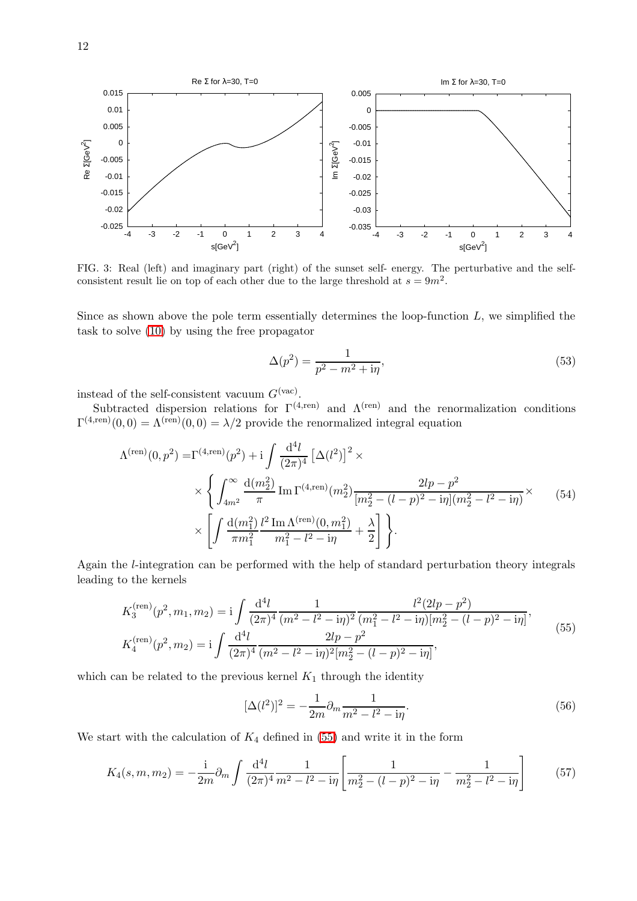

<span id="page-11-0"></span>FIG. 3: Real (left) and imaginary part (right) of the sunset self- energy. The perturbative and the selfconsistent result lie on top of each other due to the large threshold at  $s = 9m^2$ .

Since as shown above the pole term essentially determines the loop-function  $L$ , we simplified the task to solve [\(10\)](#page-3-0) by using the free propagator

<span id="page-11-2"></span>
$$
\Delta(p^2) = \frac{1}{p^2 - m^2 + i\eta},\tag{53}
$$

instead of the self-consistent vacuum  $G^{(vac)}$ .

Subtracted dispersion relations for  $\Gamma^{(4,ren)}$  and  $\Lambda^{(ren)}$  and the renormalization conditions  $\Gamma^{(4,\text{ren})}(0,0) = \Lambda^{(\text{ren})}(0,0) = \lambda/2$  provide the renormalized integral equation

$$
\Lambda^{(\text{ren})}(0, p^2) = \Gamma^{(4, \text{ren})}(p^2) + i \int \frac{d^4l}{(2\pi)^4} \left[\Delta(l^2)\right]^2 \times
$$
  
 
$$
\times \left\{ \int_{4m^2}^{\infty} \frac{d(m_2^2)}{\pi} \operatorname{Im} \Gamma^{(4, \text{ren})}(m_2^2) \frac{2lp - p^2}{[m_2^2 - (l - p)^2 - i\eta](m_2^2 - l^2 - i\eta)} \times \left[\int \frac{d(m_1^2)}{\pi m_1^2} \frac{l^2 \operatorname{Im} \Lambda^{(\text{ren})}(0, m_1^2)}{m_1^2 - l^2 - i\eta} + \frac{\lambda}{2} \right] \right\}.
$$
 (54)

<span id="page-11-1"></span>Again the l-integration can be performed with the help of standard perturbation theory integrals leading to the kernels

$$
K_3^{\text{(ren)}}(p^2, m_1, m_2) = \mathbf{i} \int \frac{\mathrm{d}^4 l}{(2\pi)^4} \frac{1}{(m^2 - l^2 - \mathbf{i}\eta)^2} \frac{l^2 (2lp - p^2)}{(m_1^2 - l^2 - \mathbf{i}\eta)[m_2^2 - (l - p)^2 - \mathbf{i}\eta]},
$$
  
\n
$$
K_4^{\text{(ren)}}(p^2, m_2) = \mathbf{i} \int \frac{\mathrm{d}^4 l}{(2\pi)^4} \frac{2lp - p^2}{(m^2 - l^2 - \mathbf{i}\eta)^2 [m_2^2 - (l - p)^2 - \mathbf{i}\eta]},
$$
\n(55)

which can be related to the previous kernel  $K_1$  through the identity

$$
[\Delta(l^2)]^2 = -\frac{1}{2m}\partial_m \frac{1}{m^2 - l^2 - i\eta}.\tag{56}
$$

We start with the calculation of  $K_4$  defined in [\(55\)](#page-11-1) and write it in the form

$$
K_4(s,m,m_2) = -\frac{\mathrm{i}}{2m}\partial_m \int \frac{\mathrm{d}^4 l}{(2\pi)^4} \frac{1}{m^2 - l^2 - \mathrm{i}\eta} \left[ \frac{1}{m_2^2 - (l-p)^2 - \mathrm{i}\eta} - \frac{1}{m_2^2 - l^2 - \mathrm{i}\eta} \right] \tag{57}
$$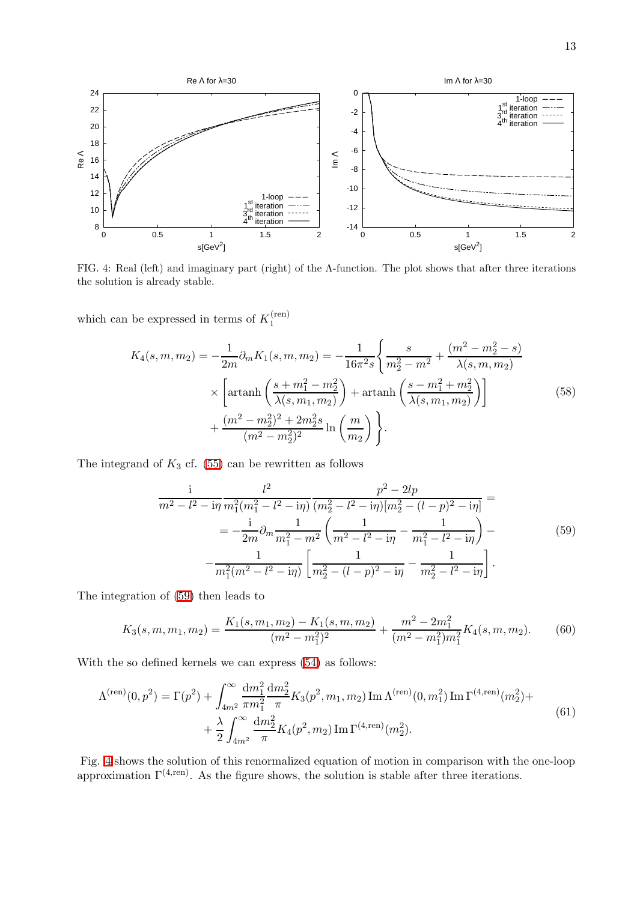

<span id="page-12-1"></span>FIG. 4: Real (left) and imaginary part (right) of the Λ-function. The plot shows that after three iterations the solution is already stable.

which can be expressed in terms of  $K_1^{\text{(ren)}}$ 1

$$
K_4(s, m, m_2) = -\frac{1}{2m} \partial_m K_1(s, m, m_2) = -\frac{1}{16\pi^2 s} \left\{ \frac{s}{m_2^2 - m^2} + \frac{(m^2 - m_2^2 - s)}{\lambda(s, m, m_2)} \right\}
$$

$$
\times \left[ \operatorname{artanh}\left(\frac{s + m_1^2 - m_2^2}{\lambda(s, m_1, m_2)}\right) + \operatorname{artanh}\left(\frac{s - m_1^2 + m_2^2}{\lambda(s, m_1, m_2)}\right) \right]
$$
(58)
$$
+ \frac{(m^2 - m_2^2)^2 + 2m_2^2 s}{(m^2 - m_2^2)^2} \ln\left(\frac{m}{m_2}\right) \left\}.
$$

The integrand of  $K_3$  cf. [\(55\)](#page-11-1) can be rewritten as follows

<span id="page-12-0"></span>
$$
\frac{\mathrm{i}}{m^2 - l^2 - \mathrm{i}\eta} \frac{l^2}{m_1^2 (m_1^2 - l^2 - \mathrm{i}\eta)} \frac{p^2 - 2lp}{(m_2^2 - l^2 - \mathrm{i}\eta)[m_2^2 - (l - p)^2 - \mathrm{i}\eta]} =
$$
\n
$$
= -\frac{\mathrm{i}}{2m} \partial_m \frac{1}{m_1^2 - m^2} \left( \frac{1}{m^2 - l^2 - \mathrm{i}\eta} - \frac{1}{m_1^2 - l^2 - \mathrm{i}\eta} \right) -
$$
\n
$$
- \frac{1}{m_1^2 (m^2 - l^2 - \mathrm{i}\eta)} \left[ \frac{1}{m_2^2 - (l - p)^2 - \mathrm{i}\eta} - \frac{1}{m_2^2 - l^2 - \mathrm{i}\eta} \right].
$$
\n(59)

The integration of [\(59\)](#page-12-0) then leads to

$$
K_3(s, m, m_1, m_2) = \frac{K_1(s, m_1, m_2) - K_1(s, m, m_2)}{(m^2 - m_1^2)^2} + \frac{m^2 - 2m_1^2}{(m^2 - m_1^2)m_1^2} K_4(s, m, m_2).
$$
 (60)

With the so defined kernels we can express [\(54\)](#page-11-2) as follows:

$$
\Lambda^{(\text{ren})}(0, p^2) = \Gamma(p^2) + \int_{4m^2}^{\infty} \frac{dm_1^2}{\pi m_1^2} \frac{dm_2^2}{\pi} K_3(p^2, m_1, m_2) \operatorname{Im} \Lambda^{(\text{ren})}(0, m_1^2) \operatorname{Im} \Gamma^{(4, \text{ren})}(m_2^2) + + \frac{\lambda}{2} \int_{4m^2}^{\infty} \frac{dm_2^2}{\pi} K_4(p^2, m_2) \operatorname{Im} \Gamma^{(4, \text{ren})}(m_2^2).
$$
\n(61)

Fig. [4](#page-12-1) shows the solution of this renormalized equation of motion in comparison with the one-loop approximation  $\Gamma^{(4,\text{ren})}$ . As the figure shows, the solution is stable after three iterations.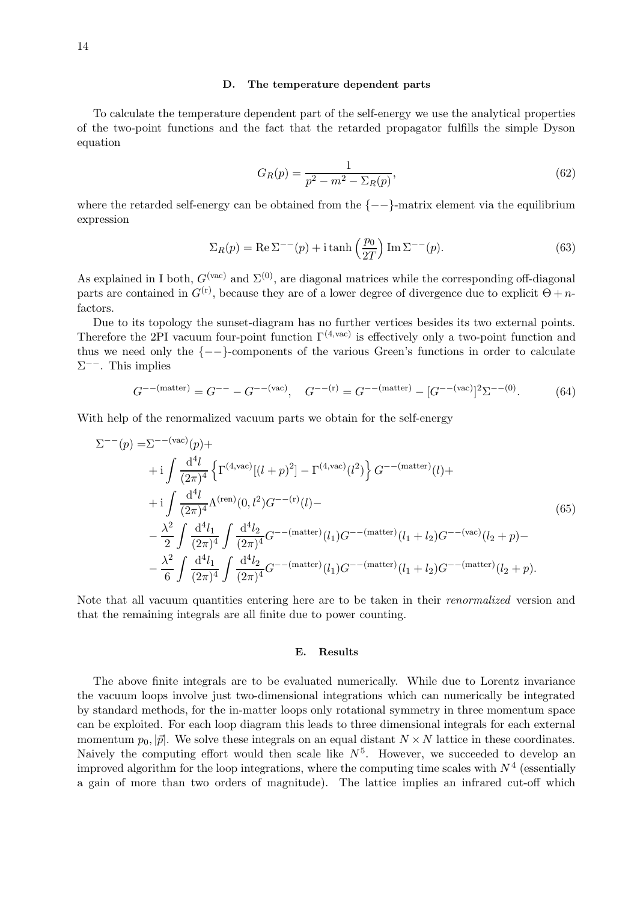### D. The temperature dependent parts

<span id="page-13-1"></span>To calculate the temperature dependent part of the self-energy we use the analytical properties of the two-point functions and the fact that the retarded propagator fulfills the simple Dyson equation

$$
G_R(p) = \frac{1}{p^2 - m^2 - \Sigma_R(p)},
$$
\n(62)

where the retarded self-energy can be obtained from the {−−}-matrix element via the equilibrium expression

<span id="page-13-0"></span>
$$
\Sigma_R(p) = \text{Re}\,\Sigma^{--}(p) + \text{i}\tanh\left(\frac{p_0}{2T}\right)\text{Im}\,\Sigma^{--}(p). \tag{63}
$$

As explained in I both,  $G^{(vac)}$  and  $\Sigma^{(0)}$ , are diagonal matrices while the corresponding off-diagonal parts are contained in  $G^{(r)}$ , because they are of a lower degree of divergence due to explicit  $\Theta + n$ factors.

Due to its topology the sunset-diagram has no further vertices besides its two external points. Therefore the 2PI vacuum four-point function  $\Gamma^{(4,\text{vac})}$  is effectively only a two-point function and thus we need only the  $\{-\}$ -components of the various Green's functions in order to calculate  $\Sigma^{--}$ . This implies

$$
G^{---(\text{matter})} = G^{---} - G^{---(\text{vac})}, \quad G^{---(\text{r})} = G^{---(\text{matter})} - [G^{---(\text{vac})}]^2 \Sigma^{---(0)}.
$$
 (64)

With help of the renormalized vacuum parts we obtain for the self-energy

$$
\Sigma^{--}(p) = \Sigma^{--(vac)}(p) +
$$
  
+  $i \int \frac{d^4l}{(2\pi)^4} \left\{ \Gamma^{(4, vac)}[(l+p)^2] - \Gamma^{(4, vac)}(l^2) \right\} G^{--(matter)}(l) +$   
+  $i \int \frac{d^4l}{(2\pi)^4} \Lambda^{(ren)}(0, l^2) G^{--(r)}(l) -$   
-  $\frac{\lambda^2}{2} \int \frac{d^4l_1}{(2\pi)^4} \int \frac{d^4l_2}{(2\pi)^4} G^{--(matter)}(l_1) G^{--(matter)}(l_1 + l_2) G^{--(vac)}(l_2 + p) -$   
-  $\frac{\lambda^2}{6} \int \frac{d^4l_1}{(2\pi)^4} \int \frac{d^4l_2}{(2\pi)^4} G^{--(matter)}(l_1) G^{--(matter)}(l_1 + l_2) G^{--(matter)}(l_2 + p).$  (65)

Note that all vacuum quantities entering here are to be taken in their renormalized version and that the remaining integrals are all finite due to power counting.

### E. Results

The above finite integrals are to be evaluated numerically. While due to Lorentz invariance the vacuum loops involve just two-dimensional integrations which can numerically be integrated by standard methods, for the in-matter loops only rotational symmetry in three momentum space can be exploited. For each loop diagram this leads to three dimensional integrals for each external momentum  $p_0, |\vec{p}|$ . We solve these integrals on an equal distant  $N \times N$  lattice in these coordinates. Naively the computing effort would then scale like  $N^5$ . However, we succeeded to develop an improved algorithm for the loop integrations, where the computing time scales with  $N^4$  (essentially a gain of more than two orders of magnitude). The lattice implies an infrared cut-off which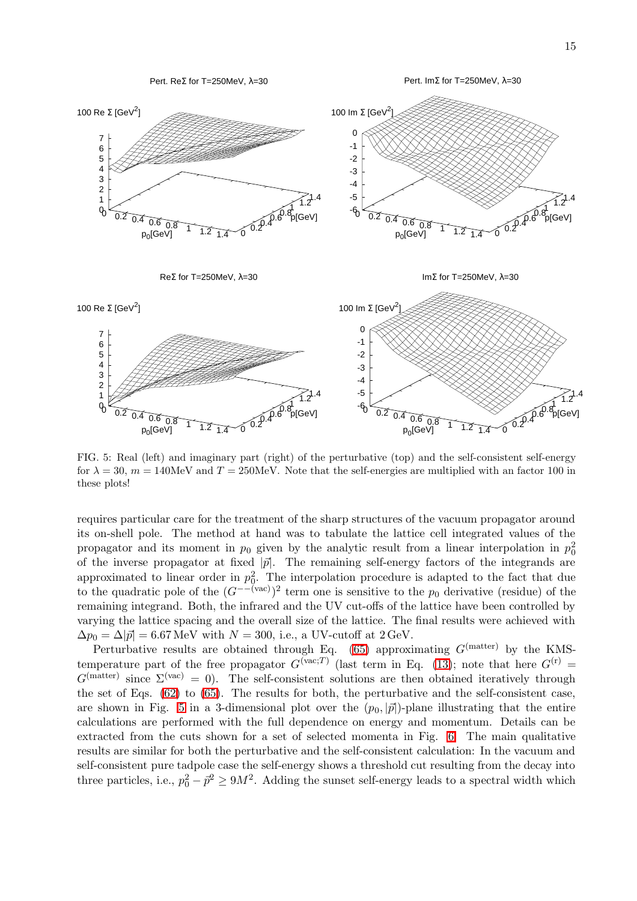

<span id="page-14-0"></span>FIG. 5: Real (left) and imaginary part (right) of the perturbative (top) and the self-consistent self-energy for  $\lambda = 30$ ,  $m = 140$ MeV and  $T = 250$ MeV. Note that the self-energies are multiplied with an factor 100 in these plots!

requires particular care for the treatment of the sharp structures of the vacuum propagator around its on-shell pole. The method at hand was to tabulate the lattice cell integrated values of the propagator and its moment in  $p_0$  given by the analytic result from a linear interpolation in  $p_0^2$ of the inverse propagator at fixed  $|\vec{p}|$ . The remaining self-energy factors of the integrands are approximated to linear order in  $p_0^2$ . The interpolation procedure is adapted to the fact that due to the quadratic pole of the  $(G^{--(vac)})^2$  term one is sensitive to the  $p_0$  derivative (residue) of the remaining integrand. Both, the infrared and the UV cut-offs of the lattice have been controlled by varying the lattice spacing and the overall size of the lattice. The final results were achieved with  $\Delta p_0 = \Delta |\vec{p}| = 6.67 \,\text{MeV}$  with  $N = 300$ , i.e., a UV-cutoff at 2 GeV.

Perturbative results are obtained through Eq.  $(65)$  approximating  $G<sup>(matter)</sup>$  by the KMStemperature part of the free propagator  $G^{(\text{vac};T)}$  (last term in Eq. [\(13\)](#page-4-1); note that here  $G^{(r)}$  =  $G<sup>(matter)</sup>$  since  $\Sigma<sup>(vac)</sup> = 0$ . The self-consistent solutions are then obtained iteratively through the set of Eqs. [\(62\)](#page-13-1) to [\(65\)](#page-13-0). The results for both, the perturbative and the self-consistent case, are shown in Fig. [5](#page-14-0) in a 3-dimensional plot over the  $(p_0, |\vec{p}|)$ -plane illustrating that the entire calculations are performed with the full dependence on energy and momentum. Details can be extracted from the cuts shown for a set of selected momenta in Fig. [6.](#page-15-0) The main qualitative results are similar for both the perturbative and the self-consistent calculation: In the vacuum and self-consistent pure tadpole case the self-energy shows a threshold cut resulting from the decay into three particles, i.e.,  $p_0^2 - \bar{p}^2 \ge 9M^2$ . Adding the sunset self-energy leads to a spectral width which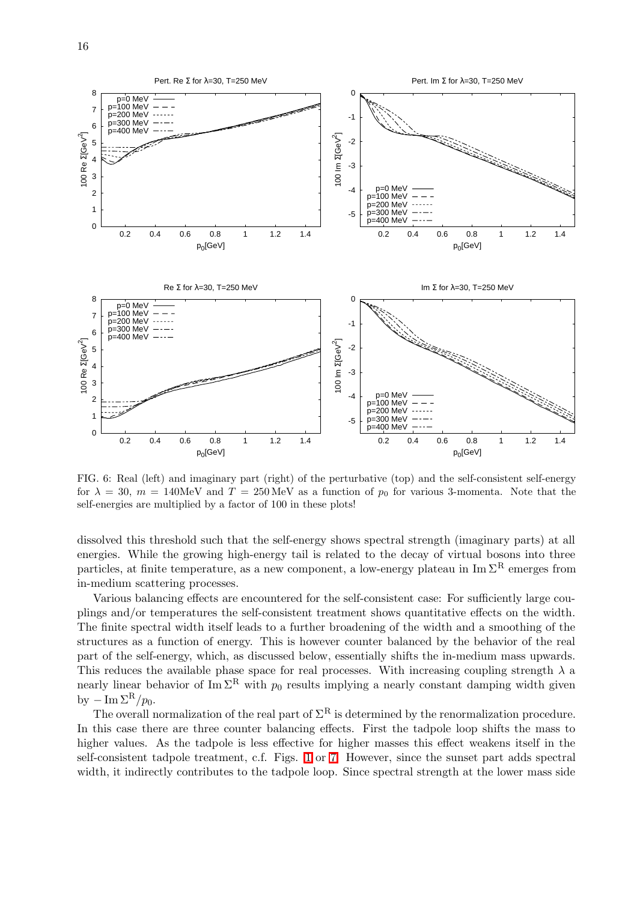

0 1 2 3 0.2 0.4 0.6 0.8 1 1.2 1.4  $\mathsf{p}_0$ [GeV] -5 -4 -3 0.2 0.4 0.6 0.8 1 1.2 1.4  $\mathsf{p}_0$ [GeV] p=0 MeV p=100 MeV p=200 MeV p=300 MeV p=400 MeV

<span id="page-15-0"></span>FIG. 6: Real (left) and imaginary part (right) of the perturbative (top) and the self-consistent self-energy for  $\lambda = 30$ ,  $m = 140$ MeV and  $T = 250$ MeV as a function of  $p_0$  for various 3-momenta. Note that the self-energies are multiplied by a factor of 100 in these plots!

dissolved this threshold such that the self-energy shows spectral strength (imaginary parts) at all energies. While the growing high-energy tail is related to the decay of virtual bosons into three particles, at finite temperature, as a new component, a low-energy plateau in  $\text{Im }\Sigma^{\text{R}}$  emerges from in-medium scattering processes.

Various balancing effects are encountered for the self-consistent case: For sufficiently large couplings and/or temperatures the self-consistent treatment shows quantitative effects on the width. The finite spectral width itself leads to a further broadening of the width and a smoothing of the structures as a function of energy. This is however counter balanced by the behavior of the real part of the self-energy, which, as discussed below, essentially shifts the in-medium mass upwards. This reduces the available phase space for real processes. With increasing coupling strength  $\lambda$  a nearly linear behavior of  $\text{Im } \Sigma^{\text{R}}$  with  $p_0$  results implying a nearly constant damping width given by  $-\text{Im }\Sigma^R/p_0$ .

The overall normalization of the real part of  $\Sigma^{\text{R}}$  is determined by the renormalization procedure. In this case there are three counter balancing effects. First the tadpole loop shifts the mass to higher values. As the tadpole is less effective for higher masses this effect weakens itself in the self-consistent tadpole treatment, c.f. Figs. [1](#page-6-0) or [7.](#page-16-0) However, since the sunset part adds spectral width, it indirectly contributes to the tadpole loop. Since spectral strength at the lower mass side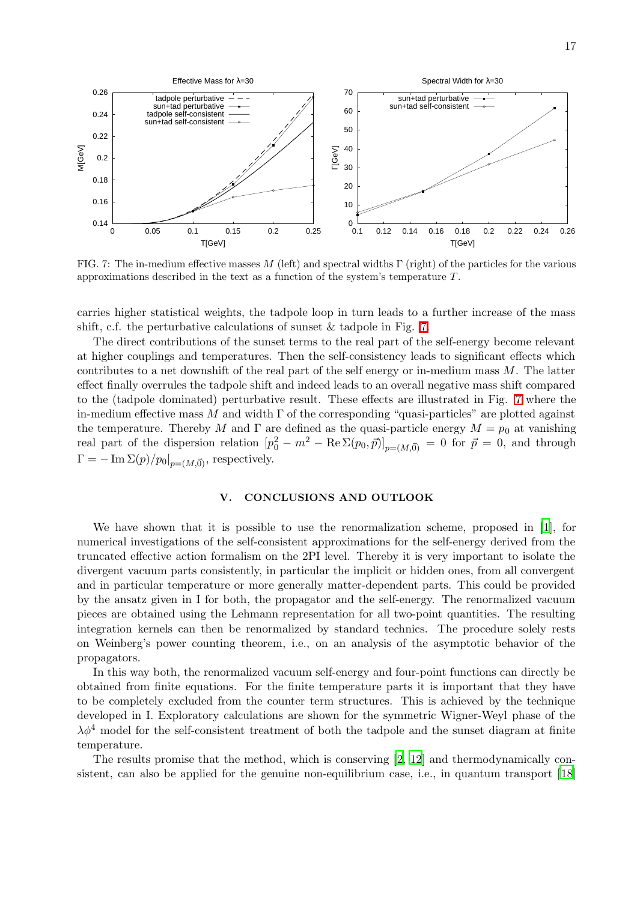

<span id="page-16-0"></span>FIG. 7: The in-medium effective masses M (left) and spectral widths  $\Gamma$  (right) of the particles for the various approximations described in the text as a function of the system's temperature T.

carries higher statistical weights, the tadpole loop in turn leads to a further increase of the mass shift, c.f. the perturbative calculations of sunset & tadpole in Fig. [7.](#page-16-0)

The direct contributions of the sunset terms to the real part of the self-energy become relevant at higher couplings and temperatures. Then the self-consistency leads to significant effects which contributes to a net downshift of the real part of the self energy or in-medium mass  $M$ . The latter effect finally overrules the tadpole shift and indeed leads to an overall negative mass shift compared to the (tadpole dominated) perturbative result. These effects are illustrated in Fig. [7](#page-16-0) where the in-medium effective mass  $M$  and width  $\Gamma$  of the corresponding "quasi-particles" are plotted against the temperature. Thereby M and  $\Gamma$  are defined as the quasi-particle energy  $M = p_0$  at vanishing real part of the dispersion relation  $[p_0^2 - m^2 - \text{Re }\Sigma(p_0, \vec{p})]_{p=(M, \vec{0})} = 0$  for  $\vec{p} = 0$ , and through  $\Gamma = -\operatorname{Im} \Sigma(p)/p_0|_{p=(M,\vec{0})}$ , respectively.

## V. CONCLUSIONS AND OUTLOOK

We have shown that it is possible to use the renormalization scheme, proposed in [[1](#page-17-0)], for numerical investigations of the self-consistent approximations for the self-energy derived from the truncated effective action formalism on the 2PI level. Thereby it is very important to isolate the divergent vacuum parts consistently, in particular the implicit or hidden ones, from all convergent and in particular temperature or more generally matter-dependent parts. This could be provided by the ansatz given in I for both, the propagator and the self-energy. The renormalized vacuum pieces are obtained using the Lehmann representation for all two-point quantities. The resulting integration kernels can then be renormalized by standard technics. The procedure solely rests on Weinberg's power counting theorem, i.e., on an analysis of the asymptotic behavior of the propagators.

In this way both, the renormalized vacuum self-energy and four-point functions can directly be obtained from finite equations. For the finite temperature parts it is important that they have to be completely excluded from the counter term structures. This is achieved by the technique developed in I. Exploratory calculations are shown for the symmetric Wigner-Weyl phase of the  $\lambda \phi^4$  model for the self-consistent treatment of both the tadpole and the sunset diagram at finite temperature.

The results promise that the method, which is conserving [\[2](#page-17-1), [12](#page-18-3)] and thermodynamically consistent, can also be applied for the genuine non-equilibrium case, i.e., in quantum transport [\[18](#page-18-9)]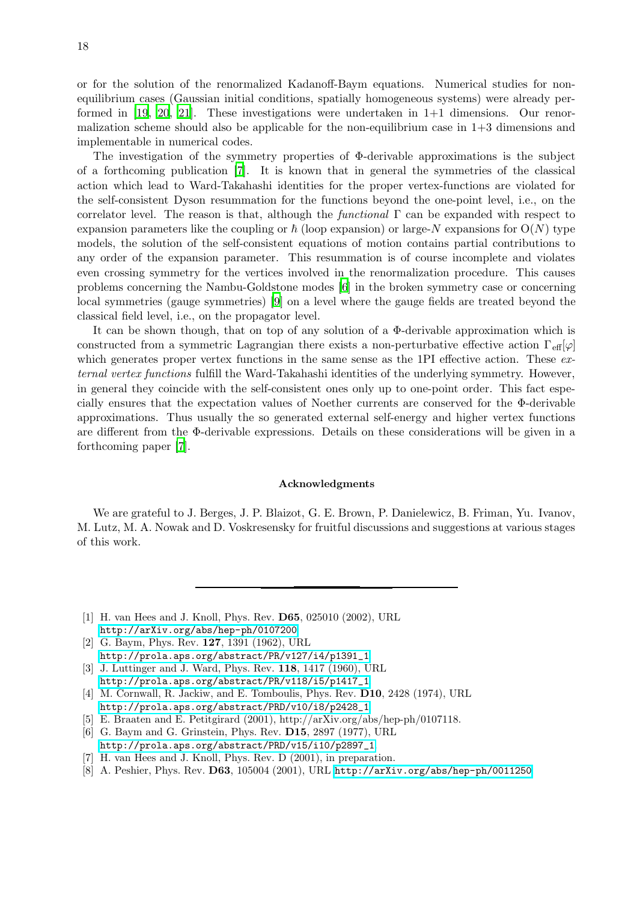or for the solution of the renormalized Kadanoff-Baym equations. Numerical studies for nonequilibrium cases (Gaussian initial conditions, spatially homogeneous systems) were already performed in  $[19, 20, 21]$  $[19, 20, 21]$  $[19, 20, 21]$  $[19, 20, 21]$  $[19, 20, 21]$ . These investigations were undertaken in  $1+1$  dimensions. Our renormalization scheme should also be applicable for the non-equilibrium case in  $1+3$  dimensions and implementable in numerical codes.

The investigation of the symmetry properties of Φ-derivable approximations is the subject of a forthcoming publication [\[7](#page-17-6)]. It is known that in general the symmetries of the classical action which lead to Ward-Takahashi identities for the proper vertex-functions are violated for the self-consistent Dyson resummation for the functions beyond the one-point level, i.e., on the correlator level. The reason is that, although the *functional*  $\Gamma$  can be expanded with respect to expansion parameters like the coupling or  $\hbar$  (loop expansion) or large-N expansions for  $O(N)$  type models, the solution of the self-consistent equations of motion contains partial contributions to any order of the expansion parameter. This resummation is of course incomplete and violates even crossing symmetry for the vertices involved in the renormalization procedure. This causes problems concerning the Nambu-Goldstone modes [\[6\]](#page-17-5) in the broken symmetry case or concerning local symmetries (gauge symmetries) [\[9](#page-18-0)] on a level where the gauge fields are treated beyond the classical field level, i.e., on the propagator level.

It can be shown though, that on top of any solution of a Φ-derivable approximation which is constructed from a symmetric Lagrangian there exists a non-perturbative effective action  $\Gamma_{\text{eff}}[\varphi]$ which generates proper vertex functions in the same sense as the 1PI effective action. These  $ex$ ternal vertex functions fulfill the Ward-Takahashi identities of the underlying symmetry. However, in general they coincide with the self-consistent ones only up to one-point order. This fact especially ensures that the expectation values of Noether currents are conserved for the Φ-derivable approximations. Thus usually the so generated external self-energy and higher vertex functions are different from the Φ-derivable expressions. Details on these considerations will be given in a forthcoming paper [\[7](#page-17-6)].

### Acknowledgments

We are grateful to J. Berges, J. P. Blaizot, G. E. Brown, P. Danielewicz, B. Friman, Yu. Ivanov, M. Lutz, M. A. Nowak and D. Voskresensky for fruitful discussions and suggestions at various stages of this work.

- <span id="page-17-0"></span>[1] H. van Hees and J. Knoll, Phys. Rev. D65, 025010 (2002), URL <http://arXiv.org/abs/hep-ph/0107200>.
- <span id="page-17-1"></span>[2] G. Baym, Phys. Rev. 127, 1391 (1962), URL [http://prola.aps.org/abstract/PR/v127/i4/p1391\\_1](http://prola.aps.org/abstract/PR/v127/i4/p1391_1).
- <span id="page-17-2"></span>[3] J. Luttinger and J. Ward, Phys. Rev. 118, 1417 (1960), URL [http://prola.aps.org/abstract/PR/v118/i5/p1417\\_1](http://prola.aps.org/abstract/PR/v118/i5/p1417_1).
- <span id="page-17-3"></span>[4] M. Cornwall, R. Jackiw, and E. Tomboulis, Phys. Rev. D10, 2428 (1974), URL [http://prola.aps.org/abstract/PRD/v10/i8/p2428\\_1](http://prola.aps.org/abstract/PRD/v10/i8/p2428_1).
- <span id="page-17-4"></span>[5] E. Braaten and E. Petitgirard (2001), http://arXiv.org/abs/hep-ph/0107118.
- <span id="page-17-5"></span>[6] G. Baym and G. Grinstein, Phys. Rev. D15, 2897 (1977), URL [http://prola.aps.org/abstract/PRD/v15/i10/p2897\\_1](http://prola.aps.org/abstract/PRD/v15/i10/p2897_1).
- <span id="page-17-6"></span>[7] H. van Hees and J. Knoll, Phys. Rev. D (2001), in preparation.
- <span id="page-17-7"></span>[8] A. Peshier, Phys. Rev. D63, 105004 (2001), URL <http://arXiv.org/abs/hep-ph/0011250>.